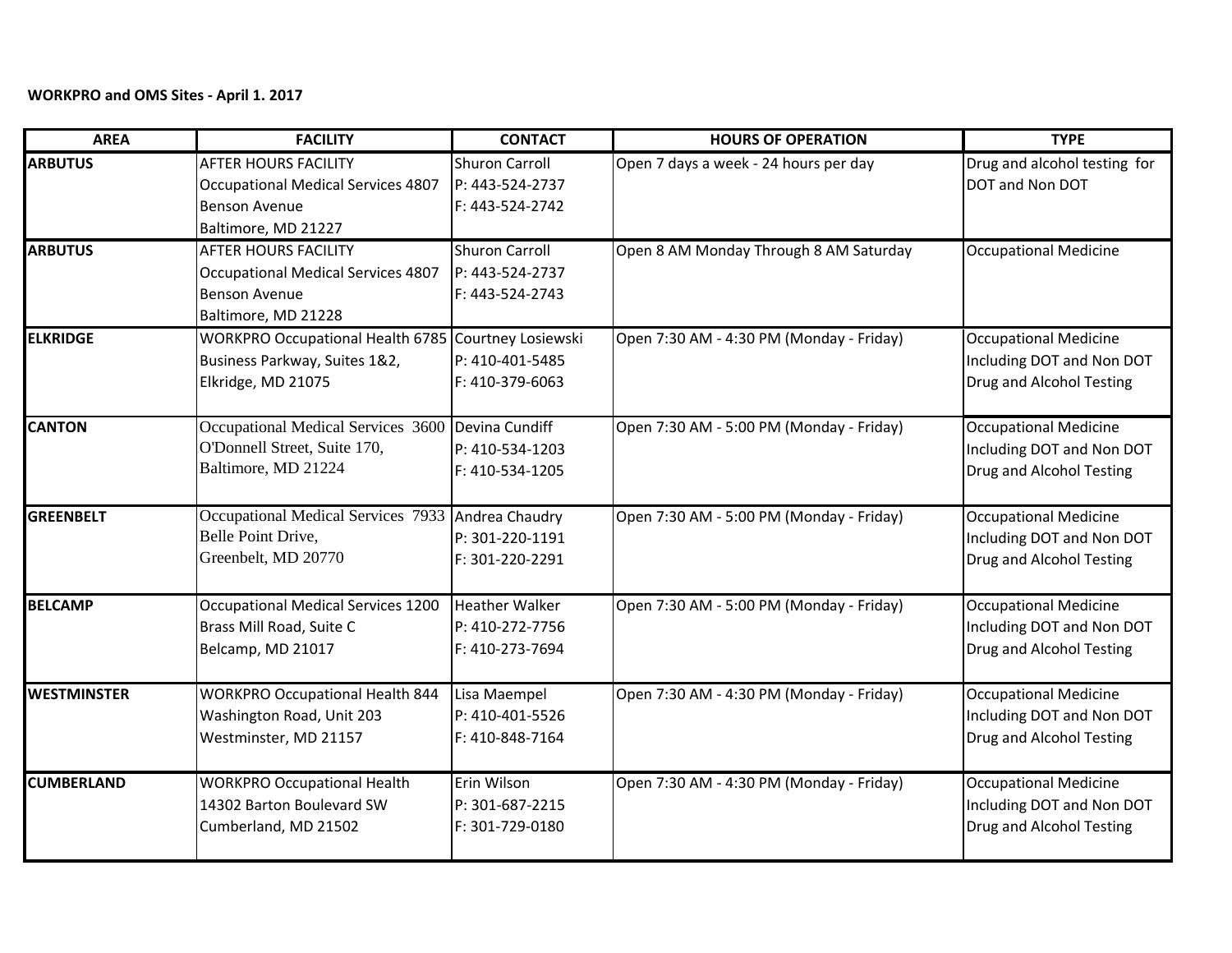## **WORKPRO and OMS Sites - April 1. 2017**

| <b>AREA</b>        | <b>FACILITY</b>                                     | <b>CONTACT</b>        | <b>HOURS OF OPERATION</b>                | <b>TYPE</b>                  |
|--------------------|-----------------------------------------------------|-----------------------|------------------------------------------|------------------------------|
| <b>ARBUTUS</b>     | <b>AFTER HOURS FACILITY</b>                         | <b>Shuron Carroll</b> | Open 7 days a week - 24 hours per day    | Drug and alcohol testing for |
|                    | Occupational Medical Services 4807                  | P: 443-524-2737       |                                          | DOT and Non DOT              |
|                    | <b>Benson Avenue</b>                                | F: 443-524-2742       |                                          |                              |
|                    | Baltimore, MD 21227                                 |                       |                                          |                              |
| <b>ARBUTUS</b>     | <b>AFTER HOURS FACILITY</b>                         | <b>Shuron Carroll</b> | Open 8 AM Monday Through 8 AM Saturday   | <b>Occupational Medicine</b> |
|                    | Occupational Medical Services 4807                  | P: 443-524-2737       |                                          |                              |
|                    | <b>Benson Avenue</b>                                | F: 443-524-2743       |                                          |                              |
|                    | Baltimore, MD 21228                                 |                       |                                          |                              |
| <b>ELKRIDGE</b>    | WORKPRO Occupational Health 6785 Courtney Losiewski |                       | Open 7:30 AM - 4:30 PM (Monday - Friday) | <b>Occupational Medicine</b> |
|                    | Business Parkway, Suites 1&2,                       | P: 410-401-5485       |                                          | Including DOT and Non DOT    |
|                    | Elkridge, MD 21075                                  | F: 410-379-6063       |                                          | Drug and Alcohol Testing     |
| <b>CANTON</b>      | Occupational Medical Services 3600 Devina Cundiff   |                       | Open 7:30 AM - 5:00 PM (Monday - Friday) | <b>Occupational Medicine</b> |
|                    | O'Donnell Street, Suite 170,                        | P: 410-534-1203       |                                          | Including DOT and Non DOT    |
|                    | Baltimore, MD 21224                                 | F: 410-534-1205       |                                          | Drug and Alcohol Testing     |
| <b>GREENBELT</b>   | Occupational Medical Services 7933 Andrea Chaudry   |                       | Open 7:30 AM - 5:00 PM (Monday - Friday) | <b>Occupational Medicine</b> |
|                    | Belle Point Drive,                                  | P: 301-220-1191       |                                          | Including DOT and Non DOT    |
|                    | Greenbelt, MD 20770                                 | F: 301-220-2291       |                                          | Drug and Alcohol Testing     |
| <b>BELCAMP</b>     | Occupational Medical Services 1200                  | <b>Heather Walker</b> | Open 7:30 AM - 5:00 PM (Monday - Friday) | <b>Occupational Medicine</b> |
|                    | Brass Mill Road, Suite C                            | P: 410-272-7756       |                                          | Including DOT and Non DOT    |
|                    | Belcamp, MD 21017                                   | F: 410-273-7694       |                                          | Drug and Alcohol Testing     |
| <b>WESTMINSTER</b> | <b>WORKPRO Occupational Health 844</b>              | Lisa Maempel          | Open 7:30 AM - 4:30 PM (Monday - Friday) | Occupational Medicine        |
|                    | Washington Road, Unit 203                           | P: 410-401-5526       |                                          | Including DOT and Non DOT    |
|                    | Westminster, MD 21157                               | F: 410-848-7164       |                                          | Drug and Alcohol Testing     |
| <b>CUMBERLAND</b>  | <b>WORKPRO Occupational Health</b>                  | Erin Wilson           | Open 7:30 AM - 4:30 PM (Monday - Friday) | <b>Occupational Medicine</b> |
|                    | 14302 Barton Boulevard SW                           | P: 301-687-2215       |                                          | Including DOT and Non DOT    |
|                    | Cumberland, MD 21502                                | F: 301-729-0180       |                                          | Drug and Alcohol Testing     |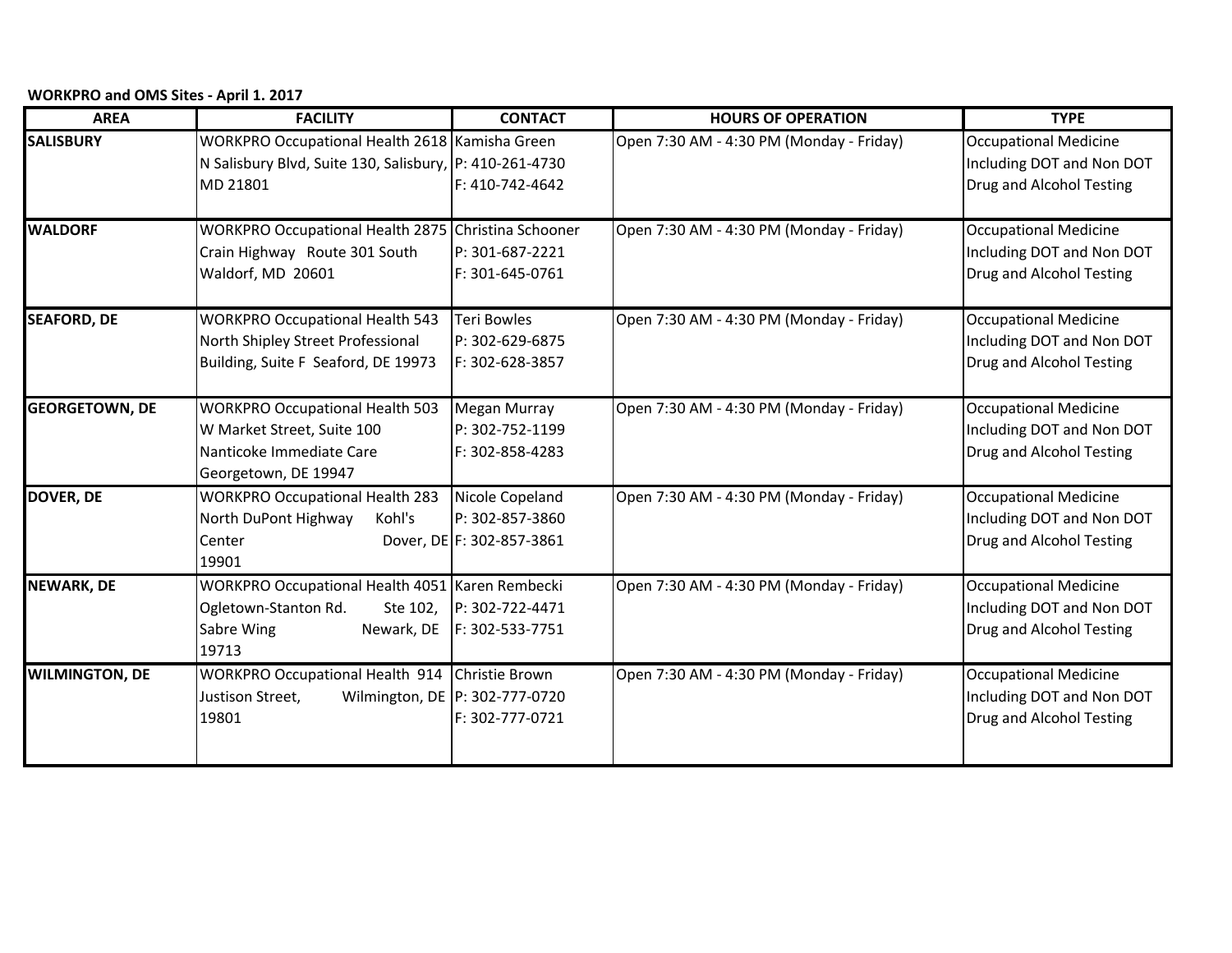**WORKPRO and OMS Sites - April 1. 2017**

| <b>AREA</b>           | <b>FACILITY</b>                                                                                                          | <b>CONTACT</b>                                                  | <b>HOURS OF OPERATION</b>                | <b>TYPE</b>                                                                           |
|-----------------------|--------------------------------------------------------------------------------------------------------------------------|-----------------------------------------------------------------|------------------------------------------|---------------------------------------------------------------------------------------|
| <b>SALISBURY</b>      | WORKPRO Occupational Health 2618 Kamisha Green<br>N Salisbury Blvd, Suite 130, Salisbury, P: 410-261-4730<br>MD 21801    | F: 410-742-4642                                                 | Open 7:30 AM - 4:30 PM (Monday - Friday) | <b>Occupational Medicine</b><br>Including DOT and Non DOT<br>Drug and Alcohol Testing |
| <b>WALDORF</b>        | WORKPRO Occupational Health 2875 Christina Schooner<br>Crain Highway Route 301 South<br>Waldorf, MD 20601                | P: 301-687-2221<br>F: 301-645-0761                              | Open 7:30 AM - 4:30 PM (Monday - Friday) | <b>Occupational Medicine</b><br>Including DOT and Non DOT<br>Drug and Alcohol Testing |
| <b>SEAFORD, DE</b>    | <b>WORKPRO Occupational Health 543</b><br>North Shipley Street Professional<br>Building, Suite F Seaford, DE 19973       | <b>Teri Bowles</b><br>P: 302-629-6875<br>F: 302-628-3857        | Open 7:30 AM - 4:30 PM (Monday - Friday) | <b>Occupational Medicine</b><br>Including DOT and Non DOT<br>Drug and Alcohol Testing |
| <b>GEORGETOWN, DE</b> | <b>WORKPRO Occupational Health 503</b><br>W Market Street, Suite 100<br>Nanticoke Immediate Care<br>Georgetown, DE 19947 | <b>Megan Murray</b><br>P: 302-752-1199<br>F: 302-858-4283       | Open 7:30 AM - 4:30 PM (Monday - Friday) | <b>Occupational Medicine</b><br>Including DOT and Non DOT<br>Drug and Alcohol Testing |
| <b>DOVER, DE</b>      | <b>WORKPRO Occupational Health 283</b><br>Kohl's<br>North DuPont Highway<br>Center<br>19901                              | Nicole Copeland<br>P: 302-857-3860<br>Dover, DE F: 302-857-3861 | Open 7:30 AM - 4:30 PM (Monday - Friday) | <b>Occupational Medicine</b><br>Including DOT and Non DOT<br>Drug and Alcohol Testing |
| <b>NEWARK, DE</b>     | <b>WORKPRO Occupational Health 4051 Karen Rembecki</b><br>Ogletown-Stanton Rd.<br>Sabre Wing<br>Newark, DE<br>19713      | Ste 102, P: 302-722-4471<br>F: 302-533-7751                     | Open 7:30 AM - 4:30 PM (Monday - Friday) | <b>Occupational Medicine</b><br>Including DOT and Non DOT<br>Drug and Alcohol Testing |
| <b>WILMINGTON, DE</b> | WORKPRO Occupational Health 914 Christie Brown<br>Justison Street,<br>19801                                              | Wilmington, DE   P: 302-777-0720<br>F: 302-777-0721             | Open 7:30 AM - 4:30 PM (Monday - Friday) | <b>Occupational Medicine</b><br>Including DOT and Non DOT<br>Drug and Alcohol Testing |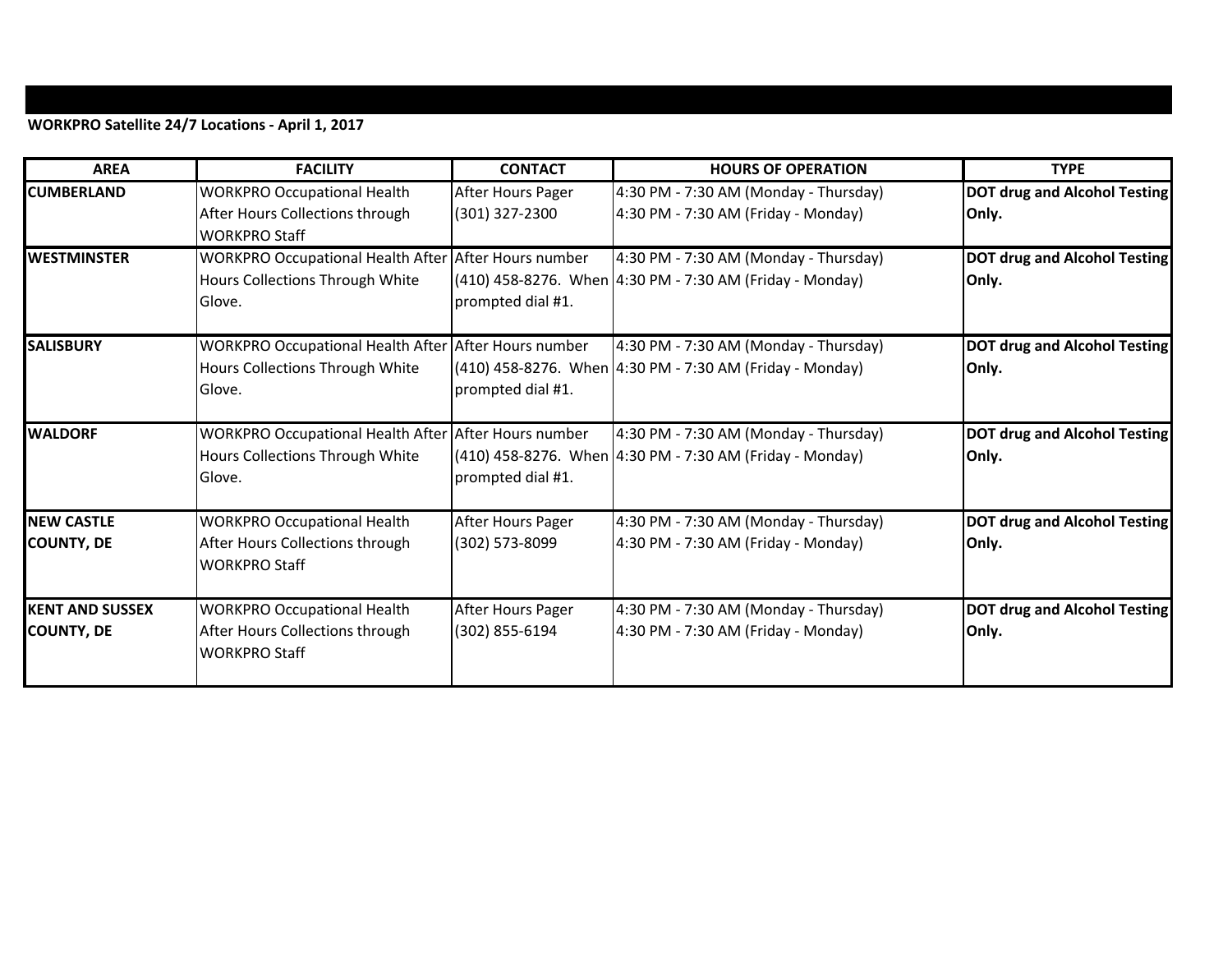## **WORKPRO Satellite 24/7 Locations - April 1, 2017**

| <b>AREA</b>                                 | <b>FACILITY</b>                                                                                   | <b>CONTACT</b>                      | <b>HOURS OF OPERATION</b>                                                                         | <b>TYPE</b>                                  |
|---------------------------------------------|---------------------------------------------------------------------------------------------------|-------------------------------------|---------------------------------------------------------------------------------------------------|----------------------------------------------|
| <b>CUMBERLAND</b>                           | <b>WORKPRO Occupational Health</b><br>After Hours Collections through<br><b>WORKPRO Staff</b>     | After Hours Pager<br>(301) 327-2300 | 4:30 PM - 7:30 AM (Monday - Thursday)<br>4:30 PM - 7:30 AM (Friday - Monday)                      | <b>DOT drug and Alcohol Testing</b><br>Only. |
| <b>WESTMINSTER</b>                          | WORKPRO Occupational Health After After Hours number<br>Hours Collections Through White<br>Glove. | prompted dial #1.                   | 4:30 PM - 7:30 AM (Monday - Thursday)<br>(410) 458-8276. When 4:30 PM - 7:30 AM (Friday - Monday) | <b>DOT drug and Alcohol Testing</b><br>Only. |
| <b>SALISBURY</b>                            | WORKPRO Occupational Health After After Hours number<br>Hours Collections Through White<br>Glove. | prompted dial #1.                   | 4:30 PM - 7:30 AM (Monday - Thursday)<br>(410) 458-8276. When 4:30 PM - 7:30 AM (Friday - Monday) | <b>DOT drug and Alcohol Testing</b><br>Only. |
| <b>WALDORF</b>                              | WORKPRO Occupational Health After After Hours number<br>Hours Collections Through White<br>Glove. | prompted dial #1.                   | 4:30 PM - 7:30 AM (Monday - Thursday)<br>(410) 458-8276. When 4:30 PM - 7:30 AM (Friday - Monday) | <b>DOT drug and Alcohol Testing</b><br>Only. |
| <b>NEW CASTLE</b><br><b>COUNTY, DE</b>      | <b>WORKPRO Occupational Health</b><br>After Hours Collections through<br><b>WORKPRO Staff</b>     | After Hours Pager<br>(302) 573-8099 | 4:30 PM - 7:30 AM (Monday - Thursday)<br>4:30 PM - 7:30 AM (Friday - Monday)                      | <b>DOT drug and Alcohol Testing</b><br>Only. |
| <b>KENT AND SUSSEX</b><br><b>COUNTY, DE</b> | <b>WORKPRO Occupational Health</b><br>After Hours Collections through<br><b>WORKPRO Staff</b>     | After Hours Pager<br>(302) 855-6194 | 4:30 PM - 7:30 AM (Monday - Thursday)<br>4:30 PM - 7:30 AM (Friday - Monday)                      | <b>DOT drug and Alcohol Testing</b><br>Only. |